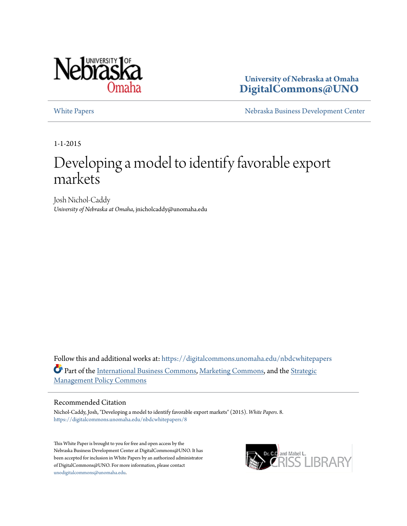

**University of Nebraska at Omaha [DigitalCommons@UNO](https://digitalcommons.unomaha.edu?utm_source=digitalcommons.unomaha.edu%2Fnbdcwhitepapers%2F8&utm_medium=PDF&utm_campaign=PDFCoverPages)**

[White Papers](https://digitalcommons.unomaha.edu/nbdcwhitepapers?utm_source=digitalcommons.unomaha.edu%2Fnbdcwhitepapers%2F8&utm_medium=PDF&utm_campaign=PDFCoverPages) **[Nebraska Business Development Center](https://digitalcommons.unomaha.edu/nbdc?utm_source=digitalcommons.unomaha.edu%2Fnbdcwhitepapers%2F8&utm_medium=PDF&utm_campaign=PDFCoverPages)** 

1-1-2015

# Developing a model to identify favorable export markets

Josh Nichol-Caddy *University of Nebraska at Omaha*, jnicholcaddy@unomaha.edu

Follow this and additional works at: [https://digitalcommons.unomaha.edu/nbdcwhitepapers](https://digitalcommons.unomaha.edu/nbdcwhitepapers?utm_source=digitalcommons.unomaha.edu%2Fnbdcwhitepapers%2F8&utm_medium=PDF&utm_campaign=PDFCoverPages) Part of the [International Business Commons](http://network.bepress.com/hgg/discipline/634?utm_source=digitalcommons.unomaha.edu%2Fnbdcwhitepapers%2F8&utm_medium=PDF&utm_campaign=PDFCoverPages), [Marketing Commons,](http://network.bepress.com/hgg/discipline/638?utm_source=digitalcommons.unomaha.edu%2Fnbdcwhitepapers%2F8&utm_medium=PDF&utm_campaign=PDFCoverPages) and the [Strategic](http://network.bepress.com/hgg/discipline/642?utm_source=digitalcommons.unomaha.edu%2Fnbdcwhitepapers%2F8&utm_medium=PDF&utm_campaign=PDFCoverPages) [Management Policy Commons](http://network.bepress.com/hgg/discipline/642?utm_source=digitalcommons.unomaha.edu%2Fnbdcwhitepapers%2F8&utm_medium=PDF&utm_campaign=PDFCoverPages)

#### Recommended Citation

Nichol-Caddy, Josh, "Developing a model to identify favorable export markets" (2015). *White Papers*. 8. [https://digitalcommons.unomaha.edu/nbdcwhitepapers/8](https://digitalcommons.unomaha.edu/nbdcwhitepapers/8?utm_source=digitalcommons.unomaha.edu%2Fnbdcwhitepapers%2F8&utm_medium=PDF&utm_campaign=PDFCoverPages)

This White Paper is brought to you for free and open access by the Nebraska Business Development Center at DigitalCommons@UNO. It has been accepted for inclusion in White Papers by an authorized administrator of DigitalCommons@UNO. For more information, please contact [unodigitalcommons@unomaha.edu](mailto:unodigitalcommons@unomaha.edu).

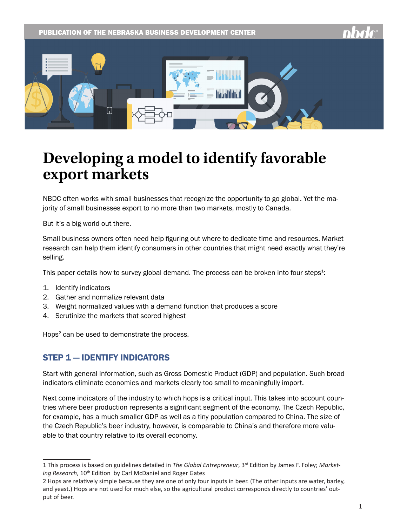PUBLICATION OF THE NEBRASKA BUSINESS DEVELOPMENT CENTER



# **Developing a model to identify favorable export markets**

NBDC often works with small businesses that recognize the opportunity to go global. Yet the majority of small businesses export to no more than two markets, mostly to Canada.

But it's a big world out there.

Small business owners often need help figuring out where to dedicate time and resources. Market research can help them identify consumers in other countries that might need exactly what they're selling.

This paper details how to survey global demand. The process can be broken into four steps<sup>1</sup>:

- 1. Identify indicators
- 2. Gather and normalize relevant data
- 3. Weight normalized values with a demand function that produces a score
- 4. Scrutinize the markets that scored highest

Hops<sup>2</sup> can be used to demonstrate the process.

#### STEP 1 — IDENTIFY INDICATORS

Start with general information, such as Gross Domestic Product (GDP) and population. Such broad indicators eliminate economies and markets clearly too small to meaningfully import.

Next come indicators of the industry to which hops is a critical input. This takes into account countries where beer production represents a significant segment of the economy. The Czech Republic, for example, has a much smaller GDP as well as a tiny population compared to China. The size of the Czech Republic's beer industry, however, is comparable to China's and therefore more valuable to that country relative to its overall economy.

<sup>1</sup> This process is based on guidelines detailed in *The Global Entrepreneur*, 3rd Edition by James F. Foley; *Marketing Research*, 10th Edition by Carl McDaniel and Roger Gates

<sup>2</sup> Hops are relatively simple because they are one of only four inputs in beer. (The other inputs are water, barley, and yeast.) Hops are not used for much else, so the agricultural product corresponds directly to countries' output of beer.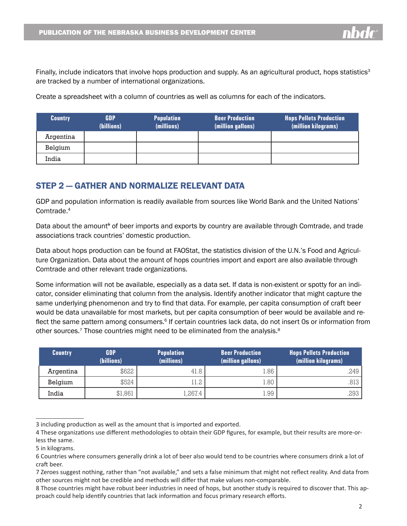Finally, include indicators that involve hops production and supply. As an agricultural product, hops statistics<sup>3</sup> are tracked by a number of international organizations.

Create a spreadsheet with a column of countries as well as columns for each of the indicators.

| <b>Country</b> | GDP<br>(billions) | <b>Population</b><br>(millions) | <b>Beer Production</b><br>(million gallons) | <b>Hops Pellets Production</b><br>(million kilograms) |
|----------------|-------------------|---------------------------------|---------------------------------------------|-------------------------------------------------------|
| Argentina      |                   |                                 |                                             |                                                       |
| Belgium        |                   |                                 |                                             |                                                       |
| India          |                   |                                 |                                             |                                                       |

### STEP 2 — GATHER AND NORMALIZE RELEVANT DATA

GDP and population information is readily available from sources like World Bank and the United Nations' Comtrade.4

Data about the amount<sup>5</sup> of beer imports and exports by country are available through Comtrade, and trade associations track countries' domestic production.

Data about hops production can be found at FAOStat, the statistics division of the U.N.'s Food and Agriculture Organization. Data about the amount of hops countries import and export are also available through Comtrade and other relevant trade organizations.

Some information will not be available, especially as a data set. If data is non-existent or spotty for an indicator, consider eliminating that column from the analysis. Identify another indicator that might capture the same underlying phenomenon and try to find that data. For example, per capita consumption of craft beer would be data unavailable for most markets, but per capita consumption of beer would be available and reflect the same pattern among consumers.<sup>6</sup> If certain countries lack data, do not insert 0s or information from other sources.<sup>7</sup> Those countries might need to be eliminated from the analysis. $8$ 

| <b>Country</b> | <b>GDP</b><br><b>Population</b><br>(billions)<br>(millions) |         | <b>Beer Production</b><br>(million gallons) | <b>Hops Pellets Production</b><br>(million kilograms) |  |
|----------------|-------------------------------------------------------------|---------|---------------------------------------------|-------------------------------------------------------|--|
| Argentina      | \$622                                                       | 41.8    | L.86                                        | .249 I                                                |  |
| Belgium        | \$524                                                       | l1.2    | L.80                                        | .813 I                                                |  |
| India          | \$1,861                                                     | 1,267.4 | 1.99                                        | 293                                                   |  |

<sup>3</sup> including production as well as the amount that is imported and exported.

<sup>4</sup> These organizations use different methodologies to obtain their GDP figures, for example, but their results are more-orless the same.

<sup>5</sup> in kilograms.

<sup>6</sup> Countries where consumers generally drink a lot of beer also would tend to be countries where consumers drink a lot of craft beer.

<sup>7</sup> Zeroes suggest nothing, rather than "not available," and sets a false minimum that might not reflect reality. And data from other sources might not be credible and methods will differ that make values non-comparable.

<sup>8</sup> Those countries might have robust beer industries in need of hops, but another study is required to discover that. This approach could help identify countries that lack information and focus primary research efforts.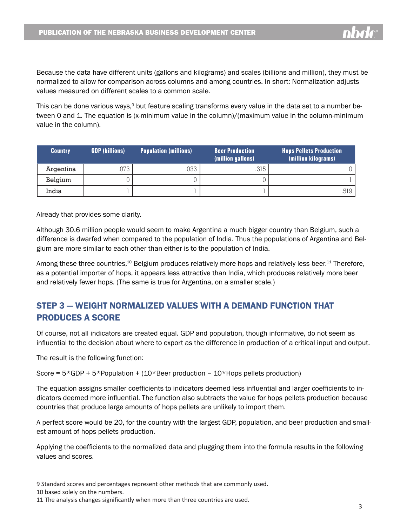Because the data have different units (gallons and kilograms) and scales (billions and million), they must be normalized to allow for comparison across columns and among countries. In short: Normalization adjusts values measured on different scales to a common scale.

This can be done various ways,<sup>9</sup> but feature scaling transforms every value in the data set to a number between 0 and 1. The equation is (x-minimum value in the column)/(maximum value in the column-minimum value in the column).

| <b>Country</b> | <b>GDP</b> (billions) | <b>Population (millions)</b> | <b>Beer Production</b><br>(million gallons) | <b>Hops Pellets Production</b><br>(million kilograms) |  |
|----------------|-----------------------|------------------------------|---------------------------------------------|-------------------------------------------------------|--|
| Argentina      | .073                  | .033                         | .315                                        |                                                       |  |
| Belgium        |                       |                              |                                             |                                                       |  |
| India          |                       |                              |                                             | .519                                                  |  |

Already that provides some clarity.

Although 30.6 million people would seem to make Argentina a much bigger country than Belgium, such a difference is dwarfed when compared to the population of India. Thus the populations of Argentina and Belgium are more similar to each other than either is to the population of India.

Among these three countries,<sup>10</sup> Belgium produces relatively more hops and relatively less beer.<sup>11</sup> Therefore, as a potential importer of hops, it appears less attractive than India, which produces relatively more beer and relatively fewer hops. (The same is true for Argentina, on a smaller scale.)

# STEP 3 — WEIGHT NORMALIZED VALUES WITH A DEMAND FUNCTION THAT PRODUCES A SCORE

Of course, not all indicators are created equal. GDP and population, though informative, do not seem as influential to the decision about where to export as the difference in production of a critical input and output.

The result is the following function:

Score =  $5*GDP + 5*Population + (10*Beer production - 10*Hops pellets production)$ 

The equation assigns smaller coefficients to indicators deemed less influential and larger coefficients to indicators deemed more influential. The function also subtracts the value for hops pellets production because countries that produce large amounts of hops pellets are unlikely to import them.

A perfect score would be 20, for the country with the largest GDP, population, and beer production and smallest amount of hops pellets production.

Applying the coefficients to the normalized data and plugging them into the formula results in the following values and scores.

<sup>9</sup> Standard scores and percentages represent other methods that are commonly used.

<sup>10</sup> based solely on the numbers.

<sup>11</sup> The analysis changes significantly when more than three countries are used.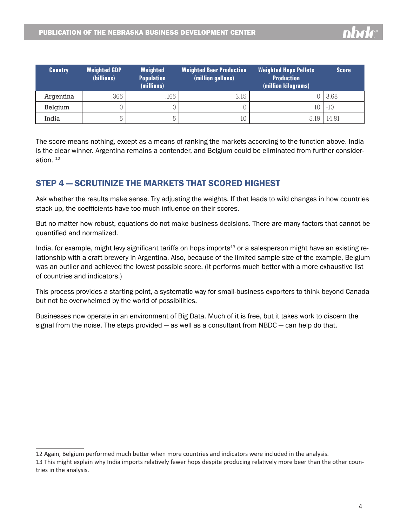| <b>Country</b> | <b>Weighted GDP</b><br>(billions) | Weighted<br><b>Population</b><br>(millions) | <b>Weighted Beer Production</b><br>(million gallons) | <b>Weighted Hops Pellets</b><br><b>Production</b><br>(million kilograms) | <b>Score</b> |
|----------------|-----------------------------------|---------------------------------------------|------------------------------------------------------|--------------------------------------------------------------------------|--------------|
| Argentina      | .365                              | .165                                        | 3.15                                                 |                                                                          | 3.68         |
| Belgium        |                                   |                                             |                                                      | 10                                                                       | $-10$        |
| India          | 5                                 | 5                                           | 10                                                   | 5.19                                                                     | 14.81        |

The score means nothing, except as a means of ranking the markets according to the function above. India is the clear winner. Argentina remains a contender, and Belgium could be eliminated from further consideration. 12

### STEP 4 — SCRUTINIZE THE MARKETS THAT SCORED HIGHEST

Ask whether the results make sense. Try adjusting the weights. If that leads to wild changes in how countries stack up, the coefficients have too much influence on their scores.

But no matter how robust, equations do not make business decisions. There are many factors that cannot be quantified and normalized.

India, for example, might levy significant tariffs on hops imports<sup>13</sup> or a salesperson might have an existing relationship with a craft brewery in Argentina. Also, because of the limited sample size of the example, Belgium was an outlier and achieved the lowest possible score. (It performs much better with a more exhaustive list of countries and indicators.)

This process provides a starting point, a systematic way for small-business exporters to think beyond Canada but not be overwhelmed by the world of possibilities.

Businesses now operate in an environment of Big Data. Much of it is free, but it takes work to discern the signal from the noise. The steps provided — as well as a consultant from NBDC — can help do that.

<sup>12</sup> Again, Belgium performed much better when more countries and indicators were included in the analysis.

<sup>13</sup> This might explain why India imports relatively fewer hops despite producing relatively more beer than the other countries in the analysis.